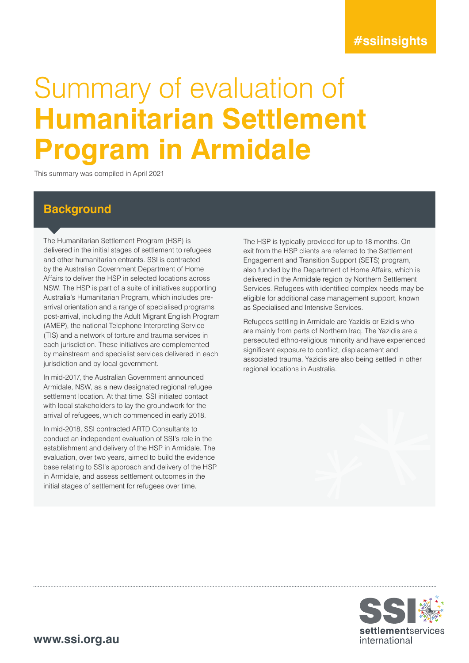# **#ssiinsights**

# Summary of evaluation of **Humanitarian Settlement Program in Armidale**

This summary was compiled in April 2021

## **Background**

The Humanitarian Settlement Program (HSP) is delivered in the initial stages of settlement to refugees and other humanitarian entrants. SSI is contracted by the Australian Government Department of Home Affairs to deliver the HSP in selected locations across NSW. The HSP is part of a suite of initiatives supporting Australia's Humanitarian Program, which includes prearrival orientation and a range of specialised programs post-arrival, including the Adult Migrant English Program (AMEP), the national Telephone Interpreting Service (TIS) and a network of torture and trauma services in each jurisdiction. These initiatives are complemented by mainstream and specialist services delivered in each jurisdiction and by local government.

In mid-2017, the Australian Government announced Armidale, NSW, as a new designated regional refugee settlement location. At that time, SSI initiated contact with local stakeholders to lay the groundwork for the arrival of refugees, which commenced in early 2018.

In mid-2018, SSI contracted ARTD Consultants to conduct an independent evaluation of SSI's role in the establishment and delivery of the HSP in Armidale. The evaluation, over two years, aimed to build the evidence base relating to SSI's approach and delivery of the HSP in Armidale, and assess settlement outcomes in the initial stages of settlement for refugees over time.

The HSP is typically provided for up to 18 months. On exit from the HSP clients are referred to the Settlement Engagement and Transition Support (SETS) program, also funded by the Department of Home Affairs, which is delivered in the Armidale region by Northern Settlement Services. Refugees with identified complex needs may be eligible for additional case management support, known as Specialised and Intensive Services.

Refugees settling in Armidale are Yazidis or Ezidis who are mainly from parts of Northern Iraq. The Yazidis are a persecuted ethno-religious minority and have experienced significant exposure to conflict, displacement and associated trauma. Yazidis are also being settled in other regional locations in Australia.

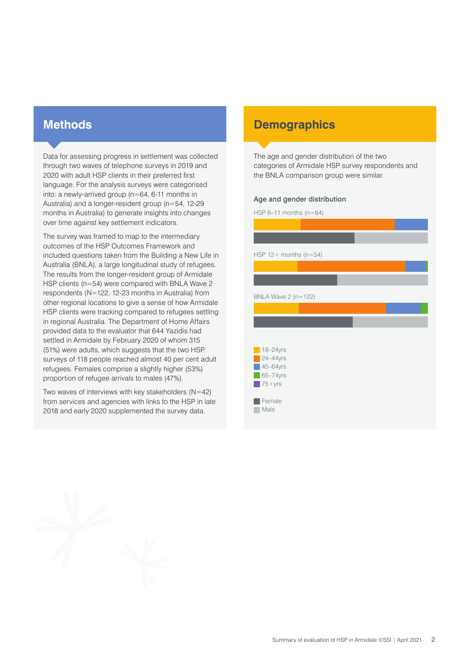## **Methods**

Data for assessing progress in settlement was collected through two waves of telephone surveys in 2019 and 2020 with adult HSP clients in their preferred first language. For the analysis surveys were categorised into: a newly-arrived group (n=64, 6-11 months in Australia) and a longer-resident group (n=54, 12-29 months in Australia) to generate insights into changes over time against key settlement indicators.

The survey was framed to map to the intermediary outcomes of the HSP Outcomes Framework and included questions taken from the Building a New Life in Australia (BNLA), a large longitudinal study of refugees. The results from the longer-resident group of Armidale HSP clients (n=54) were compared with BNLA Wave 2 respondents (N=122, 12-23 months in Australia) from other regional locations to give a sense of how Armidale HSP clients were tracking compared to refugees settling in regional Australia. The Department of Home Affairs provided data to the evaluator that 644 Yazidis had settled in Armidale by February 2020 of whom 315 (51%) were adults, which suggests that the two HSP surveys of 118 people reached almost 40 per cent adult refugees. Females comprise a slightly higher (53%) proportion of refugee arrivals to males (47%).

Two waves of interviews with key stakeholders  $(N=42)$ from services and agencies with links to the HSP in late 2018 and early 2020 supplemented the survey data.

# **Demographics**

The age and gender distribution of the two categories of Armidale HSP survey respondents and the BNLA comparison group were similar.

#### Age and gender distribution

HSP  $6-11$  months  $(n=64)$ HSP  $12+$  months ( $n=54$ ) BNLA Wave 2 (n=122)  $18 - 24$ yrs **24–44yrs**  $\sqrt{45-64}$ yrs  $\Box$  65–74yrs  $\sqrt{75 + y}$ rs Female **Male**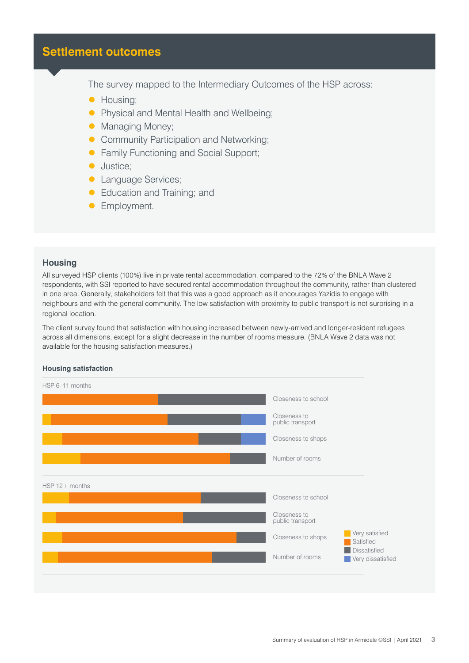# **Settlement outcomes**

The survey mapped to the Intermediary Outcomes of the HSP across:

- **Housing:**
- **Physical and Mental Health and Wellbeing;**
- Managing Money;
- **Community Participation and Networking;**
- **Family Functioning and Social Support;**
- **Justice**;
- **Language Services;**
- Education and Training; and
- **C** Employment.

## **Housing**

All surveyed HSP clients (100%) live in private rental accommodation, compared to the 72% of the BNLA Wave 2 respondents, with SSI reported to have secured rental accommodation throughout the community, rather than clustered in one area. Generally, stakeholders felt that this was a good approach as it encourages Yazidis to engage with neighbours and with the general community. The low satisfaction with proximity to public transport is not surprising in a regional location.

The client survey found that satisfaction with housing increased between newly-arrived and longer-resident refugees across all dimensions, except for a slight decrease in the number of rooms measure. (BNLA Wave 2 data was not available for the housing satisfaction measures.)

#### **Housing satisfaction**

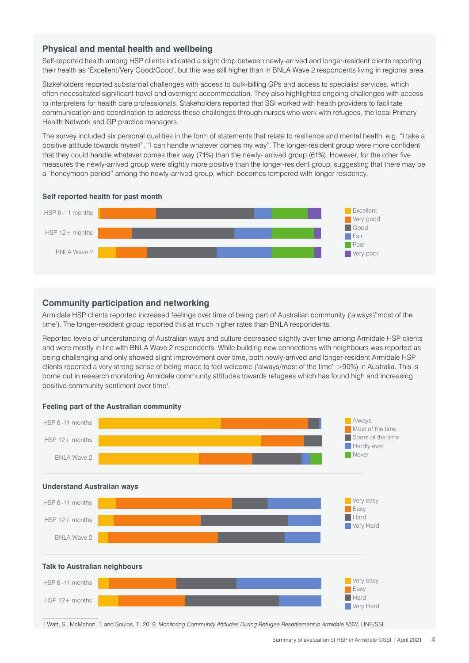## **Physical and mental health and wellbeing**

Self-reported health among HSP clients indicated a slight drop between newly-arrived and longer-resident clients reporting their health as 'Excellent/Very Good/Good', but this was still higher than in BNLA Wave 2 respondents living in regional area.

Stakeholders reported substantial challenges with access to bulk-billing GPs and access to specialist services, which often necessitated significant travel and overnight accommodation. They also highlighted ongoing challenges with access to interpreters for health care professionals. Stakeholders reported that SSI worked with health providers to facilitate communication and coordination to address these challenges through nurses who work with refugees, the local Primary Health Network and GP practice managers.

The survey included six personal qualities in the form of statements that relate to resilience and mental health: e.g. "I take a positive attitude towards myself", "I can handle whatever comes my way". The longer-resident group were more confident that they could handle whatever comes their way (71%) than the newly- arrived group (61%). However, for the other five measures the newly-arrived group were slightly more positive than the longer-resident group, suggesting that there may be a "honeymoon period" among the newly-arrived group, which becomes tempered with longer residency.

#### **Self reported health for past month**



### **Community participation and networking**

Armidale HSP clients reported increased feelings over time of being part of Australian community ('always'/'most of the time'). The longer-resident group reported this at much higher rates than BNLA respondents.

Reported levels of understanding of Australian ways and culture decreased slightly over time among Armidale HSP clients and were mostly in line with BNLA Wave 2 respondents. While building new connections with neighbours was reported as being challenging and only showed slight improvement over time, both newly-arrived and longer-resident Armidale HSP clients reported a very strong sense of being made to feel welcome ('always/most of the time', >90%) in Australia. This is borne out in research monitoring Armidale community attitudes towards refugees which has found high and increasing positive community sentiment over time<sup>1</sup>.



#### **Feeling part of the Australian community**

1 Watt, S., McMahon, T. and Soulos, T., 2019. *Monitoring Community Attitudes During Refugee Resettlement in Armidale NSW*, UNE/SSI.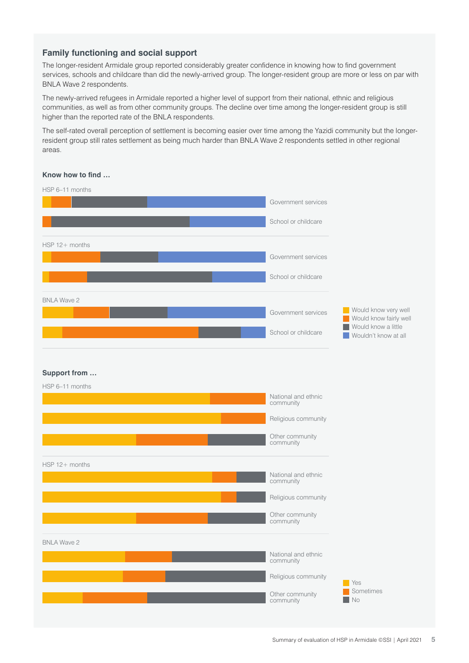## **Family functioning and social support**

The longer-resident Armidale group reported considerably greater confidence in knowing how to find government services, schools and childcare than did the newly-arrived group. The longer-resident group are more or less on par with BNLA Wave 2 respondents.

The newly-arrived refugees in Armidale reported a higher level of support from their national, ethnic and religious communities, as well as from other community groups. The decline over time among the longer-resident group is still higher than the reported rate of the BNLA respondents.

The self-rated overall perception of settlement is becoming easier over time among the Yazidi community but the longerresident group still rates settlement as being much harder than BNLA Wave 2 respondents settled in other regional areas.

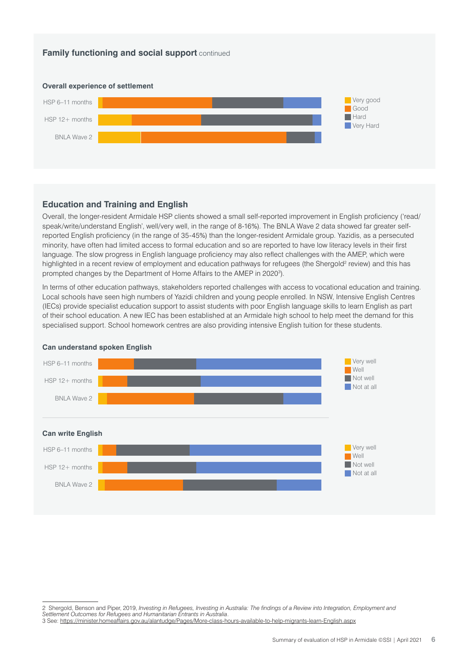## **Family functioning and social support** continued



## **Education and Training and English**

Overall, the longer-resident Armidale HSP clients showed a small self-reported improvement in English proficiency ('read/ speak/write/understand English', well/very well, in the range of 8-16%). The BNLA Wave 2 data showed far greater selfreported English proficiency (in the range of 35-45%) than the longer-resident Armidale group. Yazidis, as a persecuted minority, have often had limited access to formal education and so are reported to have low literacy levels in their first language. The slow progress in English language proficiency may also reflect challenges with the AMEP, which were highlighted in a recent review of employment and education pathways for refugees (the Shergold<sup>2</sup> review) and this has prompted changes by the Department of Home Affairs to the AMEP in 2020<sup>3</sup>).

In terms of other education pathways, stakeholders reported challenges with access to vocational education and training. Local schools have seen high numbers of Yazidi children and young people enrolled. In NSW, Intensive English Centres (IECs) provide specialist education support to assist students with poor English language skills to learn English as part of their school education. A new IEC has been established at an Armidale high school to help meet the demand for this specialised support. School homework centres are also providing intensive English tuition for these students.



#### **Can understand spoken English**

<sup>2</sup> Shergold, Benson and Piper, 2019, *Investing in Refugees, Investing in Australia: The findings of a Review into Integration, Employment and* 

*Settlement Outcomes for Refugees and Humanitarian Entrants in Australia*.

<sup>3</sup> See: <https://minister.homeaffairs.gov.au/alantudge/Pages/More-class-hours-available-to-help-migrants-learn-English.aspx>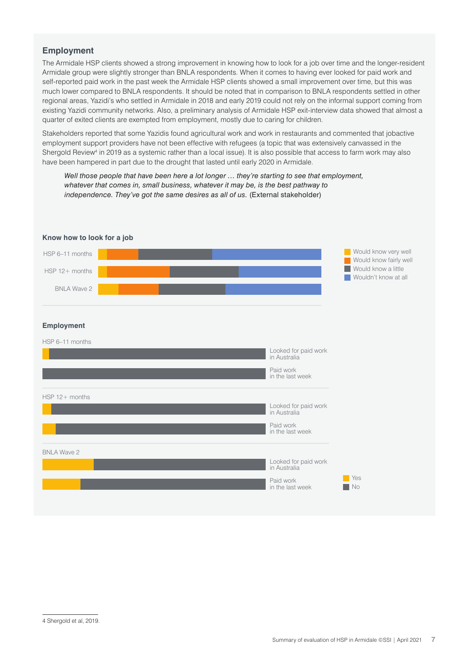## **Employment**

The Armidale HSP clients showed a strong improvement in knowing how to look for a job over time and the longer-resident Armidale group were slightly stronger than BNLA respondents. When it comes to having ever looked for paid work and self-reported paid work in the past week the Armidale HSP clients showed a small improvement over time, but this was much lower compared to BNLA respondents. It should be noted that in comparison to BNLA respondents settled in other regional areas, Yazidi's who settled in Armidale in 2018 and early 2019 could not rely on the informal support coming from existing Yazidi community networks. Also, a preliminary analysis of Armidale HSP exit-interview data showed that almost a quarter of exited clients are exempted from employment, mostly due to caring for children.

Stakeholders reported that some Yazidis found agricultural work and work in restaurants and commented that jobactive employment support providers have not been effective with refugees (a topic that was extensively canvassed in the Shergold Review<sup>4</sup> in 2019 as a systemic rather than a local issue). It is also possible that access to farm work may also have been hampered in part due to the drought that lasted until early 2020 in Armidale.

*Well those people that have been here a lot longer … they're starting to see that employment, whatever that comes in, small business, whatever it may be, is the best pathway to independence. They've got the same desires as all of us. (External stakeholder)* 

| HSP 6-11 months<br>HSP 12+ months<br><b>BNLA Wave 2</b> |  |                                      | Would know very well<br>Would know fairly well<br>Would know a little<br>Wouldn't know at all |
|---------------------------------------------------------|--|--------------------------------------|-----------------------------------------------------------------------------------------------|
| <b>Employment</b>                                       |  |                                      |                                                                                               |
| HSP 6-11 months                                         |  |                                      |                                                                                               |
|                                                         |  | Looked for paid work<br>in Australia |                                                                                               |
|                                                         |  | Paid work<br>in the last week        |                                                                                               |
| HSP 12+ months                                          |  |                                      |                                                                                               |
|                                                         |  | Looked for paid work<br>in Australia |                                                                                               |
|                                                         |  | Paid work<br>in the last week        |                                                                                               |
| <b>BNLA Wave 2</b>                                      |  |                                      |                                                                                               |
|                                                         |  | Looked for paid work<br>in Australia |                                                                                               |
|                                                         |  | Paid work<br>in the last week        | Yes<br>No                                                                                     |

#### **Know how to look for a job**

<sup>4</sup> Shergold et al, 2019.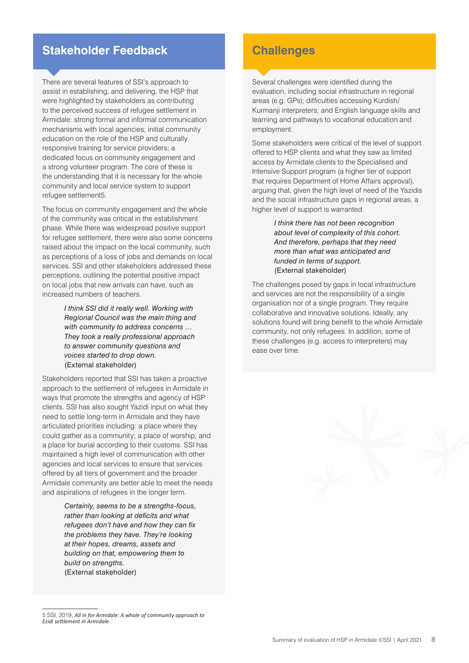# **Stakeholder Feedback**

There are several features of SSI's approach to assist in establishing, and delivering, the HSP that were highlighted by stakeholders as contributing to the perceived success of refugee settlement in Armidale: strong formal and informal communication mechanisms with local agencies; initial community education on the role of the HSP and culturally responsive training for service providers; a dedicated focus on community engagement and a strong volunteer program. The core of these is the understanding that it is necessary for the whole community and local service system to support refugee settlement5.

The focus on community engagement and the whole of the community was critical in the establishment phase. While there was widespread positive support for refugee settlement, there were also some concerns raised about the impact on the local community, such as perceptions of a loss of jobs and demands on local services. SSI and other stakeholders addressed these perceptions, outlining the potential positive impact on local jobs that new arrivals can have, such as increased numbers of teachers.

> *I think SSI did it really well. Working with Regional Council was the main thing and with community to address concerns … They took a really professional approach to answer community questions and voices started to drop down.* (External stakeholder)

Stakeholders reported that SSI has taken a proactive approach to the settlement of refugees in Armidale in ways that promote the strengths and agency of HSP clients. SSI has also sought Yazidi input on what they need to settle long-term in Armidale and they have articulated priorities including: a place where they could gather as a community; a place of worship; and a place for burial according to their customs. SSI has maintained a high level of communication with other agencies and local services to ensure that services offered by all tiers of government and the broader Armidale community are better able to meet the needs and aspirations of refugees in the longer term.

> *Certainly, seems to be a strengths-focus, rather than looking at deficits and what refugees don't have and how they can fix the problems they have. They're looking at their hopes, dreams, assets and building on that, empowering them to build on strengths.*  (External stakeholder)

# **Challenges**

Several challenges were identified during the evaluation, including social infrastructure in regional areas (e.g. GPs); difficulties accessing Kurdish/ Kurmanji interpreters; and English language skills and learning and pathways to vocational education and employment.

Some stakeholders were critical of the level of support offered to HSP clients and what they saw as limited access by Armidale clients to the Specialised and Intensive Support program (a higher tier of support that requires Department of Home Affairs approval), arguing that, given the high level of need of the Yazidis and the social infrastructure gaps in regional areas, a higher level of support is warranted.

> *I think there has not been recognition about level of complexity of this cohort. And therefore, perhaps that they need more than what was anticipated and funded in terms of support.*  (External stakeholder)

The challenges posed by gaps in local infrastructure and services are not the responsibility of a single organisation nor of a single program. They require collaborative and innovative solutions. Ideally, any solutions found will bring benefit to the whole Armidale community, not only refugees. In addition, some of these challenges (e.g. access to interpreters) may ease over time.

<sup>5</sup> SSI, 2019, *All in for Armidale: A whole of community approach to Ezidi settlement in Armidale*.